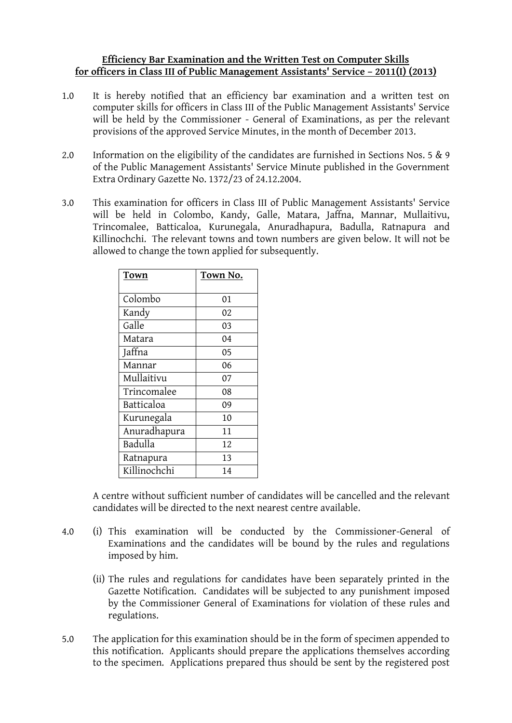# **Efficiency Bar Examination and the Written Test on Computer Skills for officers in Class III of Public Management Assistants' Service – 2011(I) (2013)**

- 1.0 It is hereby notified that an efficiency bar examination and a written test on computer skills for officers in Class III of the Public Management Assistants' Service will be held by the Commissioner - General of Examinations, as per the relevant provisions of the approved Service Minutes, in the month of December 2013.
- 2.0 Information on the eligibility of the candidates are furnished in Sections Nos. 5 & 9 of the Public Management Assistants' Service Minute published in the Government Extra Ordinary Gazette No. 1372/23 of 24.12.2004.
- 3.0 This examination for officers in Class III of Public Management Assistants' Service will be held in Colombo, Kandy, Galle, Matara, Jaffna, Mannar, Mullaitivu, Trincomalee, Batticaloa, Kurunegala, Anuradhapura, Badulla, Ratnapura and Killinochchi. The relevant towns and town numbers are given below. It will not be allowed to change the town applied for subsequently.

| Town         | Town No. |
|--------------|----------|
|              |          |
| Colombo      | 01       |
| Kandy        | 02       |
| Galle        | 03       |
| Matara       | 04       |
| Jaffna       | 05       |
| Mannar       | 06       |
| Mullaitivu   | 07       |
| Trincomalee  | 08       |
| Batticaloa   | 09       |
| Kurunegala   | 10       |
| Anuradhapura | 11       |
| Badulla      | 12       |
| Ratnapura    | 13       |
| Killinochchi | 14       |

A centre without sufficient number of candidates will be cancelled and the relevant candidates will be directed to the next nearest centre available.

- 4.0 (i) This examination will be conducted by the Commissioner-General of Examinations and the candidates will be bound by the rules and regulations imposed by him.
	- (ii) The rules and regulations for candidates have been separately printed in the Gazette Notification. Candidates will be subjected to any punishment imposed by the Commissioner General of Examinations for violation of these rules and regulations.
- 5.0 The application for this examination should be in the form of specimen appended to this notification. Applicants should prepare the applications themselves according to the specimen. Applications prepared thus should be sent by the registered post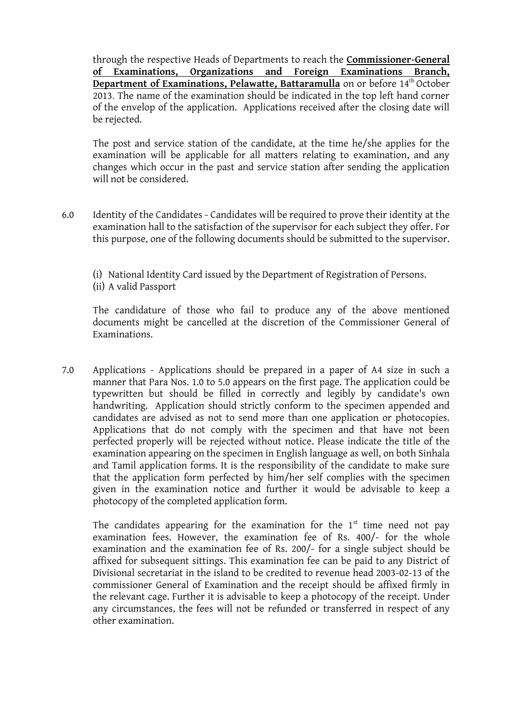through the respective Heads of Departments to reach the **Commissioner-General of Examinations, Organizations and Foreign Examinations Branch, Department of Examinations, Pelawatte, Battaramulla** on or before 14 th October 2013. The name of the examination should be indicated in the top left hand corner of the envelop of the application. Applications received after the closing date will be rejected.

The post and service station of the candidate, at the time he/she applies for the examination will be applicable for all matters relating to examination, and any changes which occur in the past and service station after sending the application will not be considered.

- 6.0 Identity of the Candidates Candidates will be required to prove their identity at the examination hall to the satisfaction of the supervisor for each subject they offer. For this purpose, one of the following documents should be submitted to the supervisor.
	- (i) National Identity Card issued by the Department of Registration of Persons. (ii) A valid Passport

The candidature of those who fail to produce any of the above mentioned documents might be cancelled at the discretion of the Commissioner General of Examinations.

7.0 Applications - Applications should be prepared in a paper of A4 size in such a manner that Para Nos. 1.0 to 5.0 appears on the first page. The application could be typewritten but should be filled in correctly and legibly by candidate's own handwriting. Application should strictly conform to the specimen appended and candidates are advised as not to send more than one application or photocopies. Applications that do not comply with the specimen and that have not been perfected properly will be rejected without notice. Please indicate the title of the examination appearing on the specimen in English language as well, on both Sinhala and Tamil application forms. It is the responsibility of the candidate to make sure that the application form perfected by him/her self complies with the specimen given in the examination notice and further it would be advisable to keep a photocopy of the completed application form.

The candidates appearing for the examination for the  $1<sup>st</sup>$  time need not pay examination fees. However, the examination fee of Rs. 400/- for the whole examination and the examination fee of Rs. 200/- for a single subject should be affixed for subsequent sittings. This examination fee can be paid to any District of Divisional secretariat in the island to be credited to revenue head 2003-02-13 of the commissioner General of Examination and the receipt should be affixed firmly in the relevant cage. Further it is advisable to keep a photocopy of the receipt. Under any circumstances, the fees will not be refunded or transferred in respect of any other examination.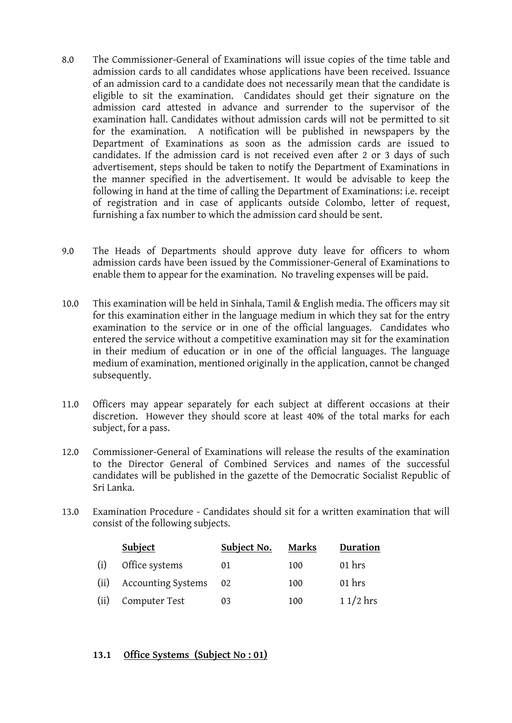- 8.0 The Commissioner-General of Examinations will issue copies of the time table and admission cards to all candidates whose applications have been received. Issuance of an admission card to a candidate does not necessarily mean that the candidate is eligible to sit the examination. Candidates should get their signature on the admission card attested in advance and surrender to the supervisor of the examination hall. Candidates without admission cards will not be permitted to sit for the examination. A notification will be published in newspapers by the Department of Examinations as soon as the admission cards are issued to candidates. If the admission card is not received even after 2 or 3 days of such advertisement, steps should be taken to notify the Department of Examinations in the manner specified in the advertisement. It would be advisable to keep the following in hand at the time of calling the Department of Examinations: i.e. receipt of registration and in case of applicants outside Colombo, letter of request, furnishing a fax number to which the admission card should be sent.
- 9.0 The Heads of Departments should approve duty leave for officers to whom admission cards have been issued by the Commissioner-General of Examinations to enable them to appear for the examination. No traveling expenses will be paid.
- 10.0 This examination will be held in Sinhala, Tamil & English media. The officers may sit for this examination either in the language medium in which they sat for the entry examination to the service or in one of the official languages. Candidates who entered the service without a competitive examination may sit for the examination in their medium of education or in one of the official languages. The language medium of examination, mentioned originally in the application, cannot be changed subsequently.
- 11.0 Officers may appear separately for each subject at different occasions at their discretion. However they should score at least 40% of the total marks for each subject, for a pass.
- 12.0 Commissioner-General of Examinations will release the results of the examination to the Director General of Combined Services and names of the successful candidates will be published in the gazette of the Democratic Socialist Republic of Sri Lanka.
- 13.0 Examination Procedure Candidates should sit for a written examination that will consist of the following subjects.

|      | <b>Subject</b>            | Subject No. | Marks | Duration   |
|------|---------------------------|-------------|-------|------------|
| (i)  | Office systems            | 01          | 100   | $01$ hrs   |
| (ii) | <b>Accounting Systems</b> | -02         | 100   | $01$ hrs   |
| (ii) | Computer Test             | 03          | 100   | $11/2$ hrs |

## **13.1 Office Systems (Subject No : 01)**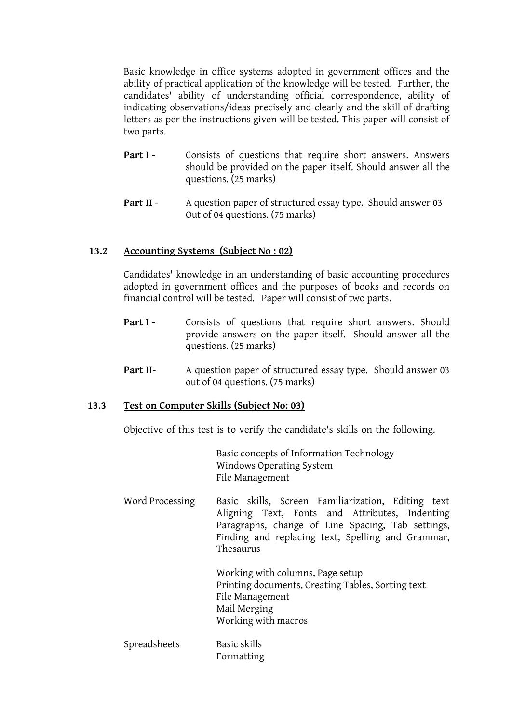Basic knowledge in office systems adopted in government offices and the ability of practical application of the knowledge will be tested. Further, the candidates' ability of understanding official correspondence, ability of indicating observations/ideas precisely and clearly and the skill of drafting letters as per the instructions given will be tested. This paper will consist of two parts.

- **Part I** Consists of questions that require short answers. Answers should be provided on the paper itself. Should answer all the questions. (25 marks)
- **Part II** A question paper of structured essay type. Should answer 03 Out of 04 questions. (75 marks)

## **13.2 Accounting Systems (Subject No : 02)**

Candidates' knowledge in an understanding of basic accounting procedures adopted in government offices and the purposes of books and records on financial control will be tested. Paper will consist of two parts.

- **Part I -** Consists of questions that require short answers. Should provide answers on the paper itself. Should answer all the questions. (25 marks)
- **Part II-** A question paper of structured essay type. Should answer 03 out of 04 questions. (75 marks)

#### **13.3 Test on Computer Skills (Subject No: 03)**

Objective of this test is to verify the candidate's skills on the following.

Basic concepts of Information Technology Windows Operating System File Management

Word Processing Basic skills, Screen Familiarization, Editing text Aligning Text, Fonts and Attributes, Indenting Paragraphs, change of Line Spacing, Tab settings, Finding and replacing text, Spelling and Grammar, Thesaurus

> Working with columns, Page setup Printing documents, Creating Tables, Sorting text File Management Mail Merging Working with macros

Spreadsheets Basic skills Formatting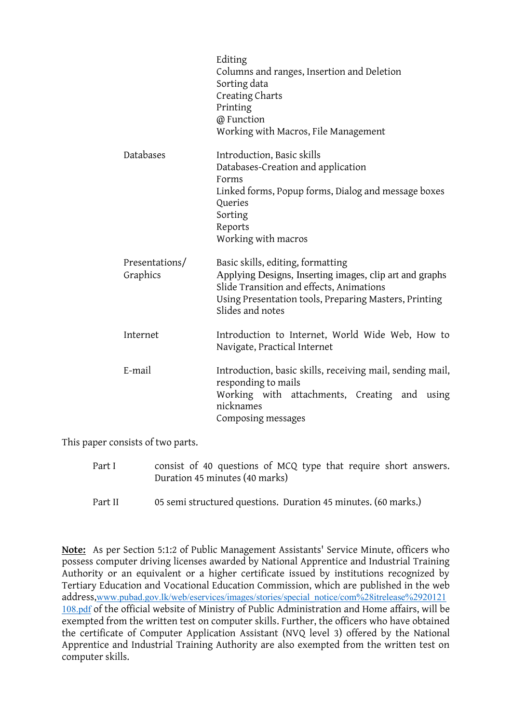|                            | Editing<br>Columns and ranges, Insertion and Deletion<br>Sorting data<br>Creating Charts<br>Printing<br>@ Function<br>Working with Macros, File Management                                                            |
|----------------------------|-----------------------------------------------------------------------------------------------------------------------------------------------------------------------------------------------------------------------|
| Databases                  | Introduction, Basic skills<br>Databases-Creation and application<br>Forms<br>Linked forms, Popup forms, Dialog and message boxes<br>Queries<br>Sorting<br>Reports<br>Working with macros                              |
| Presentations/<br>Graphics | Basic skills, editing, formatting<br>Applying Designs, Inserting images, clip art and graphs<br>Slide Transition and effects, Animations<br>Using Presentation tools, Preparing Masters, Printing<br>Slides and notes |
| Internet                   | Introduction to Internet, World Wide Web, How to<br>Navigate, Practical Internet                                                                                                                                      |
| E-mail                     | Introduction, basic skills, receiving mail, sending mail,<br>responding to mails<br>Working with attachments, Creating and using<br>nicknames<br>Composing messages                                                   |

This paper consists of two parts.

| Part I | consist of 40 questions of MCQ type that require short answers. |
|--------|-----------------------------------------------------------------|
|        | Duration 45 minutes (40 marks)                                  |

Part II 05 semi structured questions. Duration 45 minutes. (60 marks.)

**Note:** As per Section 5:1:2 of Public Management Assistants' Service Minute, officers who possess computer driving licenses awarded by National Apprentice and Industrial Training Authority or an equivalent or a higher certificate issued by institutions recognized by Tertiary Education and Vocational Education Commission, which are published in the web address,[www.pubad.gov.lk/web/eservices/images/stories/special\\_notice/com%28itrelease%2920121](https://www.pubad.gov.lk/web/eservices/images/stories/special_notice/com%28itrelease%2920121108.pdf) [108.pdf](https://www.pubad.gov.lk/web/eservices/images/stories/special_notice/com%28itrelease%2920121108.pdf) of the official website of Ministry of Public Administration and Home affairs, will be exempted from the written test on computer skills. Further, the officers who have obtained the certificate of Computer Application Assistant (NVQ level 3) offered by the National Apprentice and Industrial Training Authority are also exempted from the written test on computer skills.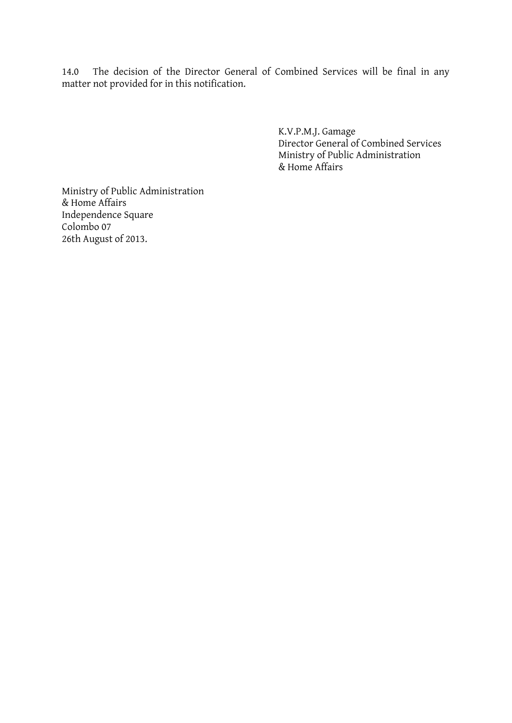14.0 The decision of the Director General of Combined Services will be final in any matter not provided for in this notification.

> K.V.P.M.J. Gamage Director General of Combined Services Ministry of Public Administration & Home Affairs

Ministry of Public Administration & Home Affairs Independence Square Colombo 07 26th August of 2013.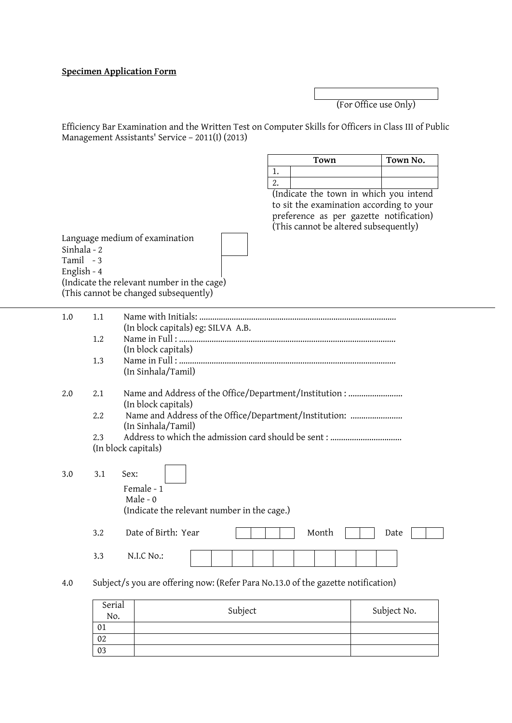## **Specimen Application Form**

(For Office use Only)

Efficiency Bar Examination and the Written Test on Computer Skills for Officers in Class III of Public Management Assistants' Service – 2011(I) (2013)

| Town No.<br>Town |  |  |
|------------------|--|--|
|                  |  |  |
|                  |  |  |

(Indicate the town in which you intend to sit the examination according to your preference as per gazette notification) (This cannot be altered subsequently)

Language medium of examination Sinhala - 2 Tamil - 3 English - 4 (Indicate the relevant number in the cage) (This cannot be changed subsequently)

> 02 03

| 1.0 | 1.1    | (In block capitals) eg: SILVA A.B.                                               |             |
|-----|--------|----------------------------------------------------------------------------------|-------------|
|     | 1.2    |                                                                                  |             |
|     |        | (In block capitals)                                                              |             |
|     | 1.3    | (In Sinhala/Tamil)                                                               |             |
| 2.0 | 2.1    | Name and Address of the Office/Department/Institution:<br>(In block capitals)    |             |
|     | 2.2    | Name and Address of the Office/Department/Institution:<br>(In Sinhala/Tamil)     |             |
|     | 2.3    |                                                                                  |             |
|     |        | (In block capitals)                                                              |             |
|     |        |                                                                                  |             |
| 3.0 | 3.1    | Sex:                                                                             |             |
|     |        | Female - 1                                                                       |             |
|     |        | Male - $0$                                                                       |             |
|     |        | (Indicate the relevant number in the cage.)                                      |             |
|     | 3.2    | Date of Birth: Year<br>Month                                                     | Date        |
|     | 3.3    | N.I.C No.:                                                                       |             |
| 4.0 |        | Subject/s you are offering now: (Refer Para No.13.0 of the gazette notification) |             |
|     | Serial |                                                                                  |             |
|     | No.    | Subject                                                                          | Subject No. |
|     | 01     |                                                                                  |             |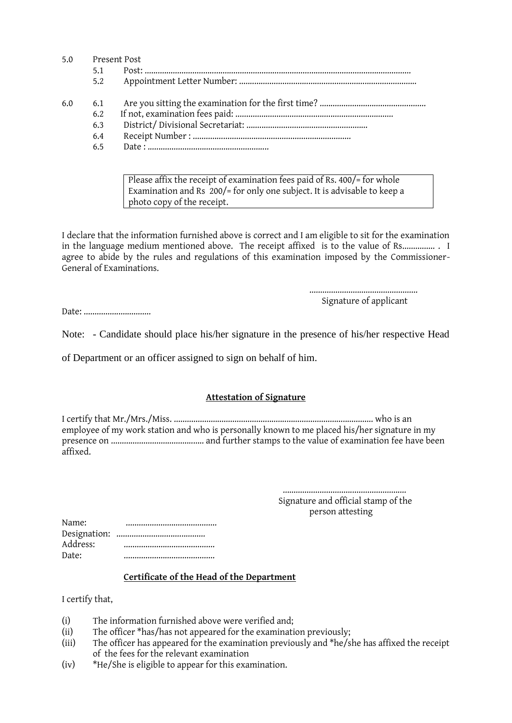| 5.0<br>Present Post |     |  |
|---------------------|-----|--|
|                     | 5.1 |  |
|                     | 5.2 |  |
| 6.0                 | 6.1 |  |
|                     | 6.2 |  |
|                     | 6.3 |  |
|                     | 6.4 |  |
|                     | 6.5 |  |
|                     |     |  |

Please affix the receipt of examination fees paid of Rs. 400/= for whole Examination and Rs 200/= for only one subject. It is advisable to keep a photo copy of the receipt.

I declare that the information furnished above is correct and I am eligible to sit for the examination in the language medium mentioned above. The receipt affixed is to the value of Rs............................. agree to abide by the rules and regulations of this examination imposed by the Commissioner-General of Examinations.

> .................................................. Signature of applicant

Date: ..................................

Note: - Candidate should place his/her signature in the presence of his/her respective Head

of Department or an officer assigned to sign on behalf of him.

#### **Attestation of Signature**

I certify that Mr./Mrs./Miss. ............................................................................................ who is an employee of my work station and who is personally known to me placed his/her signature in my presence on ........................................... and further stamps to the value of examination fee have been affixed.

> ......................................................... Signature and official stamp of the person attesting

| Name:    |  |
|----------|--|
|          |  |
| Address: |  |
| Date:    |  |

#### **Certificate of the Head of the Department**

I certify that,

- (i) The information furnished above were verified and;
- (ii) The officer \*has/has not appeared for the examination previously;
- (iii) The officer has appeared for the examination previously and \*he/she has affixed the receipt of the fees for the relevant examination
- (iv) \*He/She is eligible to appear for this examination.